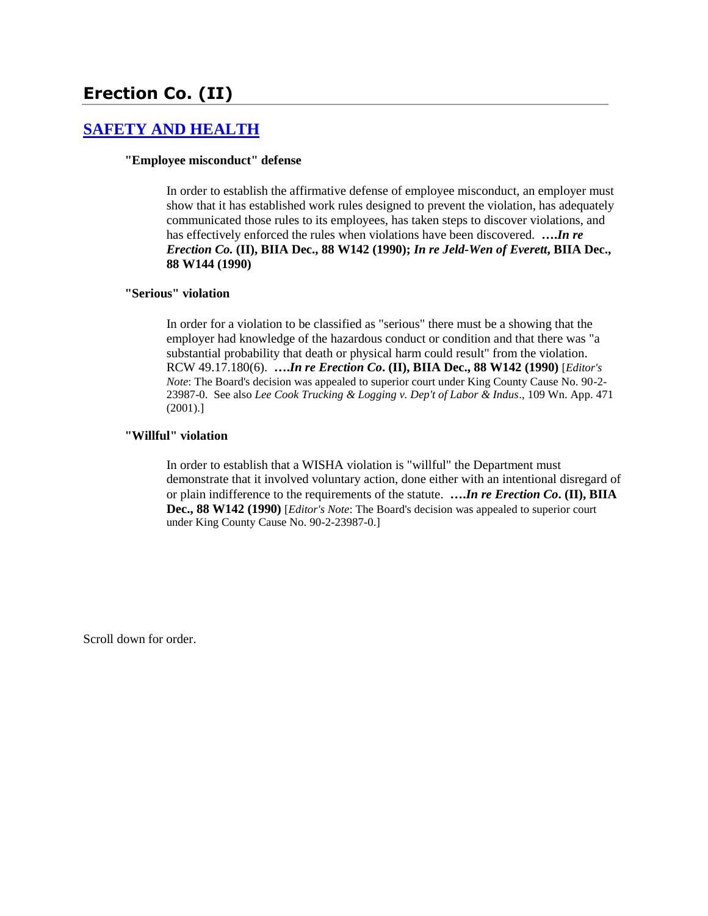# **Erection Co. (II)**

### **[SAFETY AND HEALTH](http://www.biia.wa.gov/SDSubjectIndex.html#SAFETY_AND_HEALTH)**

#### **"Employee misconduct" defense**

In order to establish the affirmative defense of employee misconduct, an employer must show that it has established work rules designed to prevent the violation, has adequately communicated those rules to its employees, has taken steps to discover violations, and has effectively enforced the rules when violations have been discovered. **….***In re Erection Co.* **(II), BIIA Dec., 88 W142 (1990);** *In re Jeld-Wen of Everett***, BIIA Dec., 88 W144 (1990)**

#### **"Serious" violation**

In order for a violation to be classified as "serious" there must be a showing that the employer had knowledge of the hazardous conduct or condition and that there was "a substantial probability that death or physical harm could result" from the violation. RCW 49.17.180(6). **….***In re Erection Co***. (II), BIIA Dec., 88 W142 (1990)** [*Editor's Note*: The Board's decision was appealed to superior court under King County Cause No. 90-2- 23987-0. See also *Lee Cook Trucking & Logging v. Dep't of Labor & Indus*., 109 Wn. App. 471 (2001).]

#### **"Willful" violation**

In order to establish that a WISHA violation is "willful" the Department must demonstrate that it involved voluntary action, done either with an intentional disregard of or plain indifference to the requirements of the statute. **….***In re Erection Co***. (II), BIIA Dec., 88 W142 (1990)** [*Editor's Note*: The Board's decision was appealed to superior court under King County Cause No. 90-2-23987-0.]

Scroll down for order.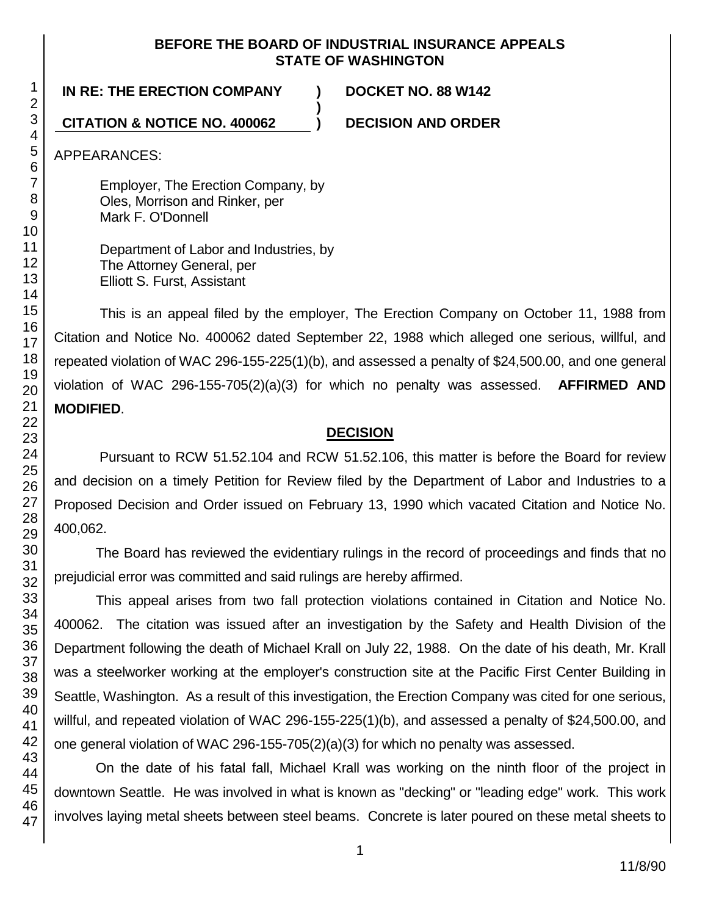### **BEFORE THE BOARD OF INDUSTRIAL INSURANCE APPEALS STATE OF WASHINGTON**

**)**

**IN RE: THE ERECTION COMPANY ) DOCKET NO. 88 W142**

## **CITATION & NOTICE NO. 400062 ) DECISION AND ORDER**

APPEARANCES:

Employer, The Erection Company, by Oles, Morrison and Rinker, per Mark F. O'Donnell

Department of Labor and Industries, by The Attorney General, per Elliott S. Furst, Assistant

This is an appeal filed by the employer, The Erection Company on October 11, 1988 from Citation and Notice No. 400062 dated September 22, 1988 which alleged one serious, willful, and repeated violation of WAC 296-155-225(1)(b), and assessed a penalty of \$24,500.00, and one general violation of WAC 296-155-705(2)(a)(3) for which no penalty was assessed. **AFFIRMED AND MODIFIED**.

## **DECISION**

Pursuant to RCW 51.52.104 and RCW 51.52.106, this matter is before the Board for review and decision on a timely Petition for Review filed by the Department of Labor and Industries to a Proposed Decision and Order issued on February 13, 1990 which vacated Citation and Notice No. 400,062.

The Board has reviewed the evidentiary rulings in the record of proceedings and finds that no prejudicial error was committed and said rulings are hereby affirmed.

This appeal arises from two fall protection violations contained in Citation and Notice No. 400062. The citation was issued after an investigation by the Safety and Health Division of the Department following the death of Michael Krall on July 22, 1988. On the date of his death, Mr. Krall was a steelworker working at the employer's construction site at the Pacific First Center Building in Seattle, Washington. As a result of this investigation, the Erection Company was cited for one serious, willful, and repeated violation of WAC 296-155-225(1)(b), and assessed a penalty of \$24,500.00, and one general violation of WAC 296-155-705(2)(a)(3) for which no penalty was assessed.

On the date of his fatal fall, Michael Krall was working on the ninth floor of the project in downtown Seattle. He was involved in what is known as "decking" or "leading edge" work. This work involves laying metal sheets between steel beams. Concrete is later poured on these metal sheets to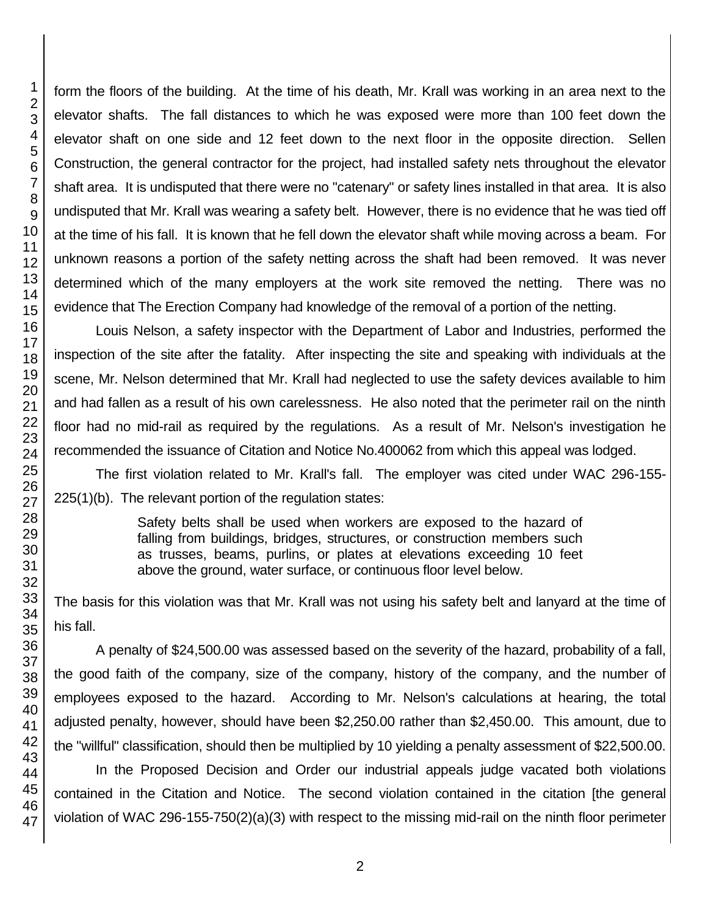form the floors of the building. At the time of his death, Mr. Krall was working in an area next to the elevator shafts. The fall distances to which he was exposed were more than 100 feet down the elevator shaft on one side and 12 feet down to the next floor in the opposite direction. Sellen Construction, the general contractor for the project, had installed safety nets throughout the elevator shaft area. It is undisputed that there were no "catenary" or safety lines installed in that area. It is also undisputed that Mr. Krall was wearing a safety belt. However, there is no evidence that he was tied off at the time of his fall. It is known that he fell down the elevator shaft while moving across a beam. For unknown reasons a portion of the safety netting across the shaft had been removed. It was never determined which of the many employers at the work site removed the netting. There was no evidence that The Erection Company had knowledge of the removal of a portion of the netting.

Louis Nelson, a safety inspector with the Department of Labor and Industries, performed the inspection of the site after the fatality. After inspecting the site and speaking with individuals at the scene, Mr. Nelson determined that Mr. Krall had neglected to use the safety devices available to him and had fallen as a result of his own carelessness. He also noted that the perimeter rail on the ninth floor had no mid-rail as required by the regulations. As a result of Mr. Nelson's investigation he recommended the issuance of Citation and Notice No.400062 from which this appeal was lodged.

The first violation related to Mr. Krall's fall. The employer was cited under WAC 296-155- 225(1)(b). The relevant portion of the regulation states:

> Safety belts shall be used when workers are exposed to the hazard of falling from buildings, bridges, structures, or construction members such as trusses, beams, purlins, or plates at elevations exceeding 10 feet above the ground, water surface, or continuous floor level below.

The basis for this violation was that Mr. Krall was not using his safety belt and lanyard at the time of his fall.

A penalty of \$24,500.00 was assessed based on the severity of the hazard, probability of a fall, the good faith of the company, size of the company, history of the company, and the number of employees exposed to the hazard. According to Mr. Nelson's calculations at hearing, the total adjusted penalty, however, should have been \$2,250.00 rather than \$2,450.00. This amount, due to the "willful" classification, should then be multiplied by 10 yielding a penalty assessment of \$22,500.00.

In the Proposed Decision and Order our industrial appeals judge vacated both violations contained in the Citation and Notice. The second violation contained in the citation [the general violation of WAC 296-155-750(2)(a)(3) with respect to the missing mid-rail on the ninth floor perimeter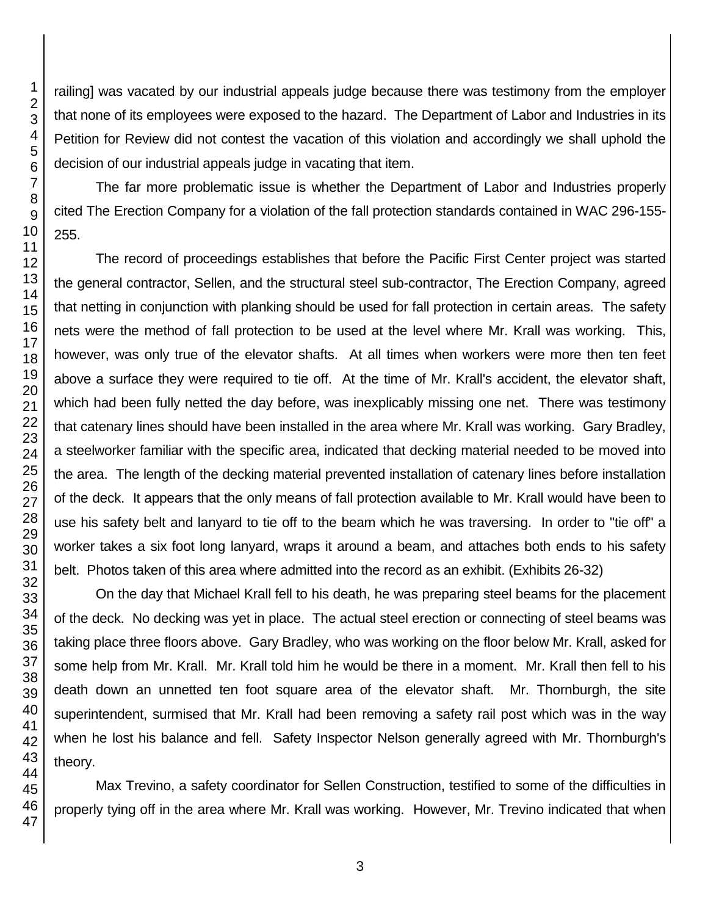railing] was vacated by our industrial appeals judge because there was testimony from the employer that none of its employees were exposed to the hazard. The Department of Labor and Industries in its Petition for Review did not contest the vacation of this violation and accordingly we shall uphold the decision of our industrial appeals judge in vacating that item.

The far more problematic issue is whether the Department of Labor and Industries properly cited The Erection Company for a violation of the fall protection standards contained in WAC 296-155- 255.

The record of proceedings establishes that before the Pacific First Center project was started the general contractor, Sellen, and the structural steel sub-contractor, The Erection Company, agreed that netting in conjunction with planking should be used for fall protection in certain areas. The safety nets were the method of fall protection to be used at the level where Mr. Krall was working. This, however, was only true of the elevator shafts. At all times when workers were more then ten feet above a surface they were required to tie off. At the time of Mr. Krall's accident, the elevator shaft, which had been fully netted the day before, was inexplicably missing one net. There was testimony that catenary lines should have been installed in the area where Mr. Krall was working. Gary Bradley, a steelworker familiar with the specific area, indicated that decking material needed to be moved into the area. The length of the decking material prevented installation of catenary lines before installation of the deck. It appears that the only means of fall protection available to Mr. Krall would have been to use his safety belt and lanyard to tie off to the beam which he was traversing. In order to "tie off" a worker takes a six foot long lanyard, wraps it around a beam, and attaches both ends to his safety belt. Photos taken of this area where admitted into the record as an exhibit. (Exhibits 26-32)

On the day that Michael Krall fell to his death, he was preparing steel beams for the placement of the deck. No decking was yet in place. The actual steel erection or connecting of steel beams was taking place three floors above. Gary Bradley, who was working on the floor below Mr. Krall, asked for some help from Mr. Krall. Mr. Krall told him he would be there in a moment. Mr. Krall then fell to his death down an unnetted ten foot square area of the elevator shaft. Mr. Thornburgh, the site superintendent, surmised that Mr. Krall had been removing a safety rail post which was in the way when he lost his balance and fell. Safety Inspector Nelson generally agreed with Mr. Thornburgh's theory.

Max Trevino, a safety coordinator for Sellen Construction, testified to some of the difficulties in properly tying off in the area where Mr. Krall was working. However, Mr. Trevino indicated that when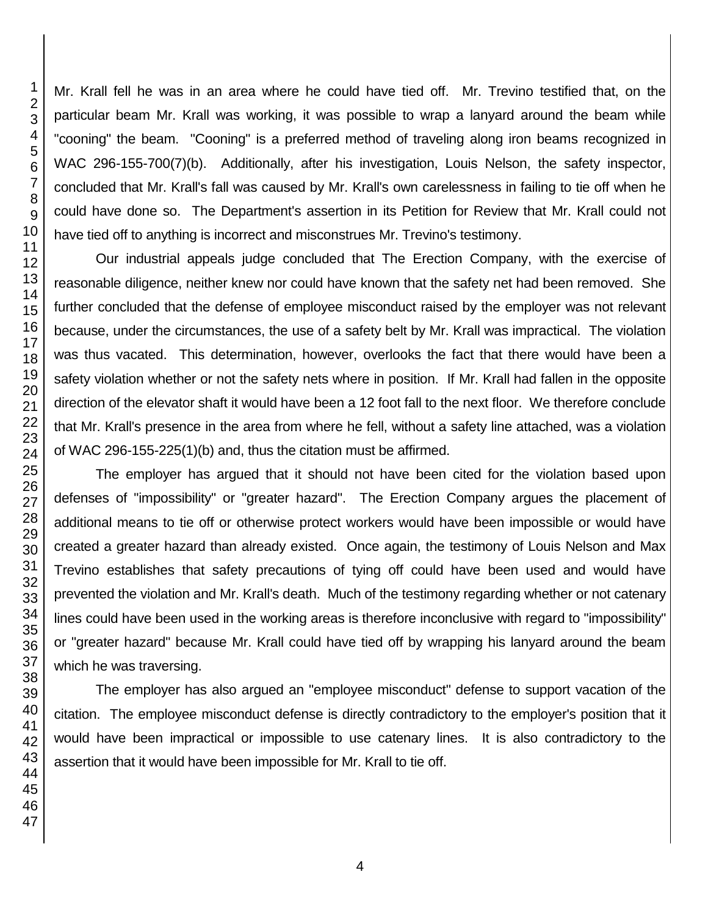Mr. Krall fell he was in an area where he could have tied off. Mr. Trevino testified that, on the particular beam Mr. Krall was working, it was possible to wrap a lanyard around the beam while "cooning" the beam. "Cooning" is a preferred method of traveling along iron beams recognized in WAC 296-155-700(7)(b). Additionally, after his investigation, Louis Nelson, the safety inspector, concluded that Mr. Krall's fall was caused by Mr. Krall's own carelessness in failing to tie off when he could have done so. The Department's assertion in its Petition for Review that Mr. Krall could not have tied off to anything is incorrect and misconstrues Mr. Trevino's testimony.

Our industrial appeals judge concluded that The Erection Company, with the exercise of reasonable diligence, neither knew nor could have known that the safety net had been removed. She further concluded that the defense of employee misconduct raised by the employer was not relevant because, under the circumstances, the use of a safety belt by Mr. Krall was impractical. The violation was thus vacated. This determination, however, overlooks the fact that there would have been a safety violation whether or not the safety nets where in position. If Mr. Krall had fallen in the opposite direction of the elevator shaft it would have been a 12 foot fall to the next floor. We therefore conclude that Mr. Krall's presence in the area from where he fell, without a safety line attached, was a violation of WAC 296-155-225(1)(b) and, thus the citation must be affirmed.

The employer has argued that it should not have been cited for the violation based upon defenses of "impossibility" or "greater hazard". The Erection Company argues the placement of additional means to tie off or otherwise protect workers would have been impossible or would have created a greater hazard than already existed. Once again, the testimony of Louis Nelson and Max Trevino establishes that safety precautions of tying off could have been used and would have prevented the violation and Mr. Krall's death. Much of the testimony regarding whether or not catenary lines could have been used in the working areas is therefore inconclusive with regard to "impossibility" or "greater hazard" because Mr. Krall could have tied off by wrapping his lanyard around the beam which he was traversing.

The employer has also argued an "employee misconduct" defense to support vacation of the citation. The employee misconduct defense is directly contradictory to the employer's position that it would have been impractical or impossible to use catenary lines. It is also contradictory to the assertion that it would have been impossible for Mr. Krall to tie off.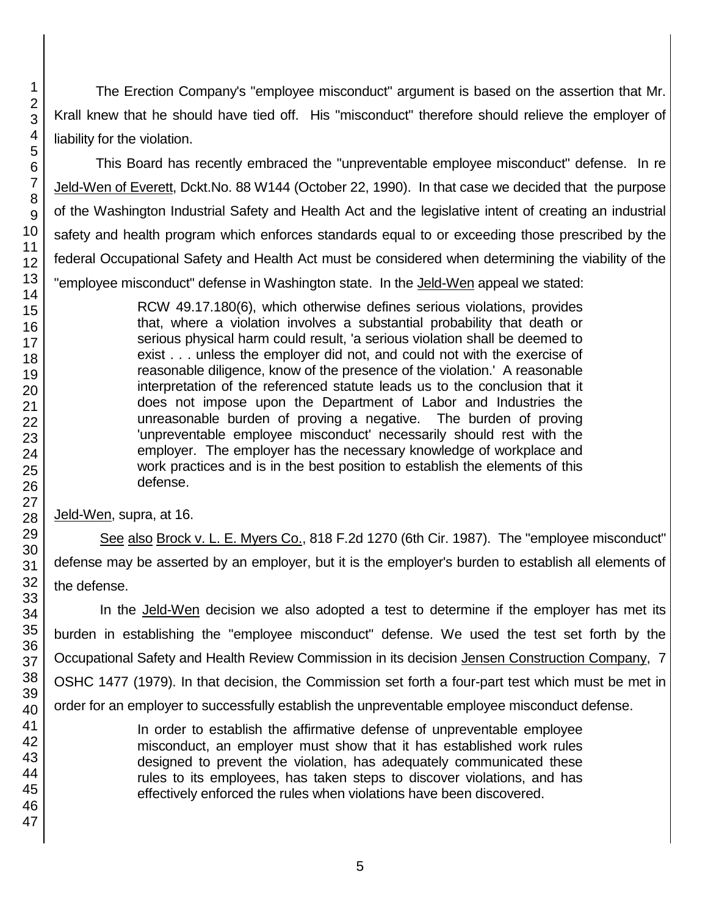The Erection Company's "employee misconduct" argument is based on the assertion that Mr. Krall knew that he should have tied off. His "misconduct" therefore should relieve the employer of liability for the violation.

This Board has recently embraced the "unpreventable employee misconduct" defense. In re Jeld-Wen of Everett, Dckt.No. 88 W144 (October 22, 1990). In that case we decided that the purpose of the Washington Industrial Safety and Health Act and the legislative intent of creating an industrial safety and health program which enforces standards equal to or exceeding those prescribed by the federal Occupational Safety and Health Act must be considered when determining the viability of the "employee misconduct" defense in Washington state. In the Jeld-Wen appeal we stated:

> RCW 49.17.180(6), which otherwise defines serious violations, provides that, where a violation involves a substantial probability that death or serious physical harm could result, 'a serious violation shall be deemed to exist . . . unless the employer did not, and could not with the exercise of reasonable diligence, know of the presence of the violation.' A reasonable interpretation of the referenced statute leads us to the conclusion that it does not impose upon the Department of Labor and Industries the unreasonable burden of proving a negative. The burden of proving 'unpreventable employee misconduct' necessarily should rest with the employer. The employer has the necessary knowledge of workplace and work practices and is in the best position to establish the elements of this defense.

Jeld-Wen, supra, at 16.

See also Brock v. L. E. Myers Co., 818 F.2d 1270 (6th Cir. 1987). The "employee misconduct" defense may be asserted by an employer, but it is the employer's burden to establish all elements of the defense.

In the Jeld-Wen decision we also adopted a test to determine if the employer has met its burden in establishing the "employee misconduct" defense. We used the test set forth by the Occupational Safety and Health Review Commission in its decision Jensen Construction Company, 7 OSHC 1477 (1979). In that decision, the Commission set forth a four-part test which must be met in order for an employer to successfully establish the unpreventable employee misconduct defense.

> In order to establish the affirmative defense of unpreventable employee misconduct, an employer must show that it has established work rules designed to prevent the violation, has adequately communicated these rules to its employees, has taken steps to discover violations, and has effectively enforced the rules when violations have been discovered.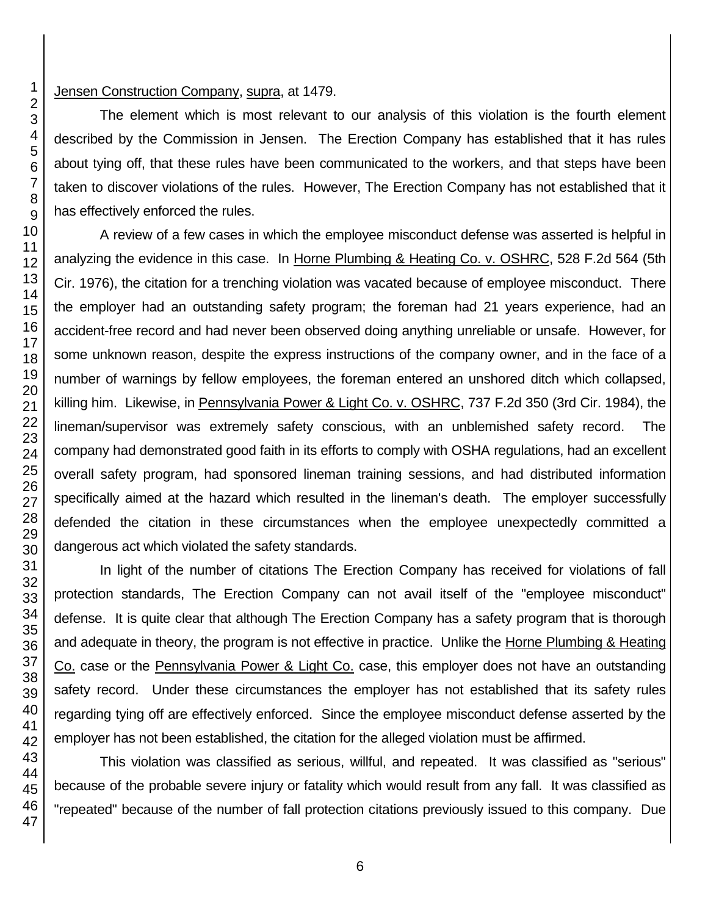#### Jensen Construction Company, supra, at 1479.

The element which is most relevant to our analysis of this violation is the fourth element described by the Commission in Jensen. The Erection Company has established that it has rules about tying off, that these rules have been communicated to the workers, and that steps have been taken to discover violations of the rules. However, The Erection Company has not established that it has effectively enforced the rules.

A review of a few cases in which the employee misconduct defense was asserted is helpful in analyzing the evidence in this case. In Horne Plumbing & Heating Co. v. OSHRC, 528 F.2d 564 (5th Cir. 1976), the citation for a trenching violation was vacated because of employee misconduct. There the employer had an outstanding safety program; the foreman had 21 years experience, had an accident-free record and had never been observed doing anything unreliable or unsafe. However, for some unknown reason, despite the express instructions of the company owner, and in the face of a number of warnings by fellow employees, the foreman entered an unshored ditch which collapsed, killing him. Likewise, in Pennsylvania Power & Light Co. v. OSHRC, 737 F.2d 350 (3rd Cir. 1984), the lineman/supervisor was extremely safety conscious, with an unblemished safety record. The company had demonstrated good faith in its efforts to comply with OSHA regulations, had an excellent overall safety program, had sponsored lineman training sessions, and had distributed information specifically aimed at the hazard which resulted in the lineman's death. The employer successfully defended the citation in these circumstances when the employee unexpectedly committed a dangerous act which violated the safety standards.

In light of the number of citations The Erection Company has received for violations of fall protection standards, The Erection Company can not avail itself of the "employee misconduct" defense. It is quite clear that although The Erection Company has a safety program that is thorough and adequate in theory, the program is not effective in practice. Unlike the Horne Plumbing & Heating Co. case or the Pennsylvania Power & Light Co. case, this employer does not have an outstanding safety record. Under these circumstances the employer has not established that its safety rules regarding tying off are effectively enforced. Since the employee misconduct defense asserted by the employer has not been established, the citation for the alleged violation must be affirmed.

This violation was classified as serious, willful, and repeated. It was classified as "serious" because of the probable severe injury or fatality which would result from any fall. It was classified as "repeated" because of the number of fall protection citations previously issued to this company. Due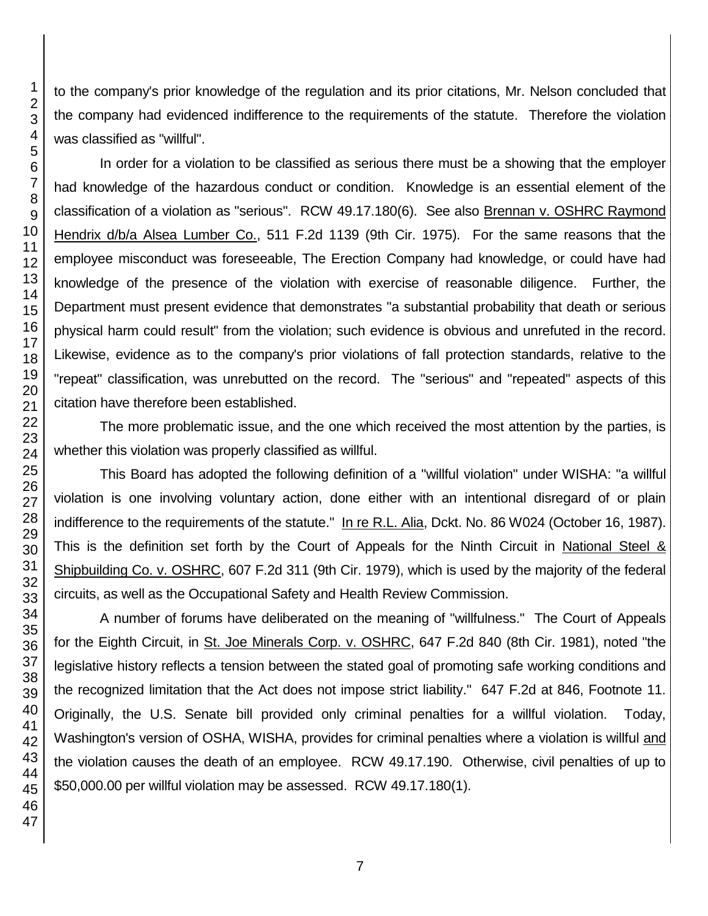to the company's prior knowledge of the regulation and its prior citations, Mr. Nelson concluded that the company had evidenced indifference to the requirements of the statute. Therefore the violation was classified as "willful". In order for a violation to be classified as serious there must be a showing that the employer

had knowledge of the hazardous conduct or condition. Knowledge is an essential element of the classification of a violation as "serious". RCW 49.17.180(6). See also Brennan v. OSHRC Raymond Hendrix d/b/a Alsea Lumber Co., 511 F.2d 1139 (9th Cir. 1975). For the same reasons that the employee misconduct was foreseeable, The Erection Company had knowledge, or could have had knowledge of the presence of the violation with exercise of reasonable diligence. Further, the Department must present evidence that demonstrates "a substantial probability that death or serious physical harm could result" from the violation; such evidence is obvious and unrefuted in the record. Likewise, evidence as to the company's prior violations of fall protection standards, relative to the "repeat" classification, was unrebutted on the record. The "serious" and "repeated" aspects of this citation have therefore been established.

The more problematic issue, and the one which received the most attention by the parties, is whether this violation was properly classified as willful.

This Board has adopted the following definition of a "willful violation" under WISHA: "a willful violation is one involving voluntary action, done either with an intentional disregard of or plain indifference to the requirements of the statute." In re R.L. Alia, Dckt. No. 86 W024 (October 16, 1987). This is the definition set forth by the Court of Appeals for the Ninth Circuit in National Steel & Shipbuilding Co. v. OSHRC, 607 F.2d 311 (9th Cir. 1979), which is used by the majority of the federal circuits, as well as the Occupational Safety and Health Review Commission.

A number of forums have deliberated on the meaning of "willfulness." The Court of Appeals for the Eighth Circuit, in St. Joe Minerals Corp. v. OSHRC, 647 F.2d 840 (8th Cir. 1981), noted "the legislative history reflects a tension between the stated goal of promoting safe working conditions and the recognized limitation that the Act does not impose strict liability." 647 F.2d at 846, Footnote 11. Originally, the U.S. Senate bill provided only criminal penalties for a willful violation. Today, Washington's version of OSHA, WISHA, provides for criminal penalties where a violation is willful and the violation causes the death of an employee. RCW 49.17.190. Otherwise, civil penalties of up to \$50,000.00 per willful violation may be assessed. RCW 49.17.180(1).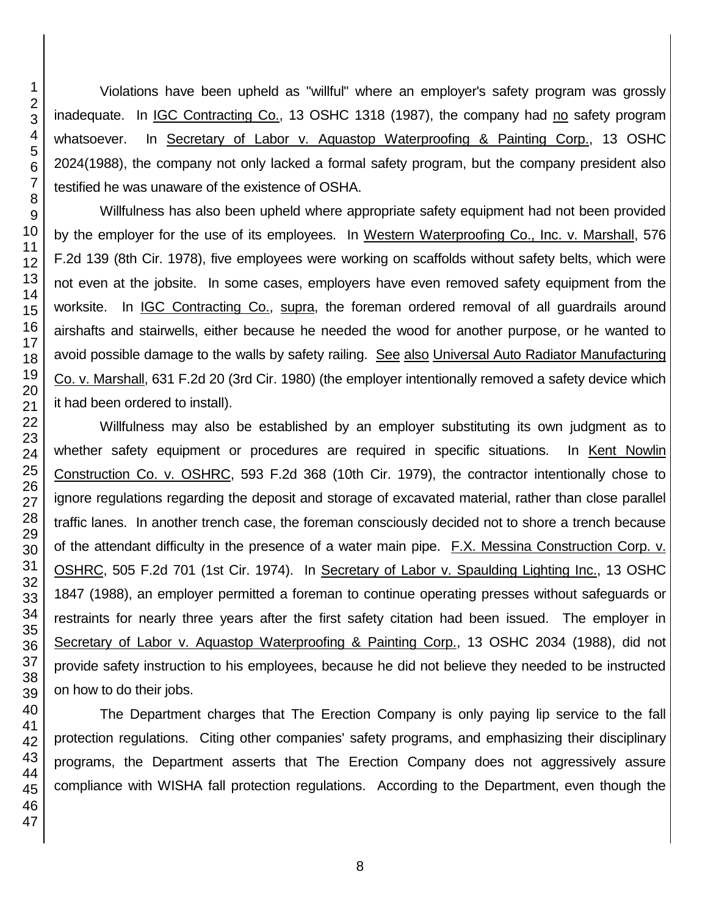Violations have been upheld as "willful" where an employer's safety program was grossly inadequate. In IGC Contracting Co., 13 OSHC 1318 (1987), the company had no safety program whatsoever. In Secretary of Labor v. Aquastop Waterproofing & Painting Corp., 13 OSHC 2024(1988), the company not only lacked a formal safety program, but the company president also testified he was unaware of the existence of OSHA.

Willfulness has also been upheld where appropriate safety equipment had not been provided by the employer for the use of its employees. In Western Waterproofing Co., Inc. v. Marshall, 576 F.2d 139 (8th Cir. 1978), five employees were working on scaffolds without safety belts, which were not even at the jobsite. In some cases, employers have even removed safety equipment from the worksite. In IGC Contracting Co., supra, the foreman ordered removal of all guardrails around airshafts and stairwells, either because he needed the wood for another purpose, or he wanted to avoid possible damage to the walls by safety railing. See also Universal Auto Radiator Manufacturing Co. v. Marshall, 631 F.2d 20 (3rd Cir. 1980) (the employer intentionally removed a safety device which it had been ordered to install).

Willfulness may also be established by an employer substituting its own judgment as to whether safety equipment or procedures are required in specific situations. In Kent Nowlin Construction Co. v. OSHRC, 593 F.2d 368 (10th Cir. 1979), the contractor intentionally chose to ignore regulations regarding the deposit and storage of excavated material, rather than close parallel traffic lanes. In another trench case, the foreman consciously decided not to shore a trench because of the attendant difficulty in the presence of a water main pipe. F.X. Messina Construction Corp. v. OSHRC, 505 F.2d 701 (1st Cir. 1974). In Secretary of Labor v. Spaulding Lighting Inc., 13 OSHC 1847 (1988), an employer permitted a foreman to continue operating presses without safeguards or restraints for nearly three years after the first safety citation had been issued. The employer in Secretary of Labor v. Aquastop Waterproofing & Painting Corp., 13 OSHC 2034 (1988), did not provide safety instruction to his employees, because he did not believe they needed to be instructed on how to do their jobs.

The Department charges that The Erection Company is only paying lip service to the fall protection regulations. Citing other companies' safety programs, and emphasizing their disciplinary programs, the Department asserts that The Erection Company does not aggressively assure compliance with WISHA fall protection regulations. According to the Department, even though the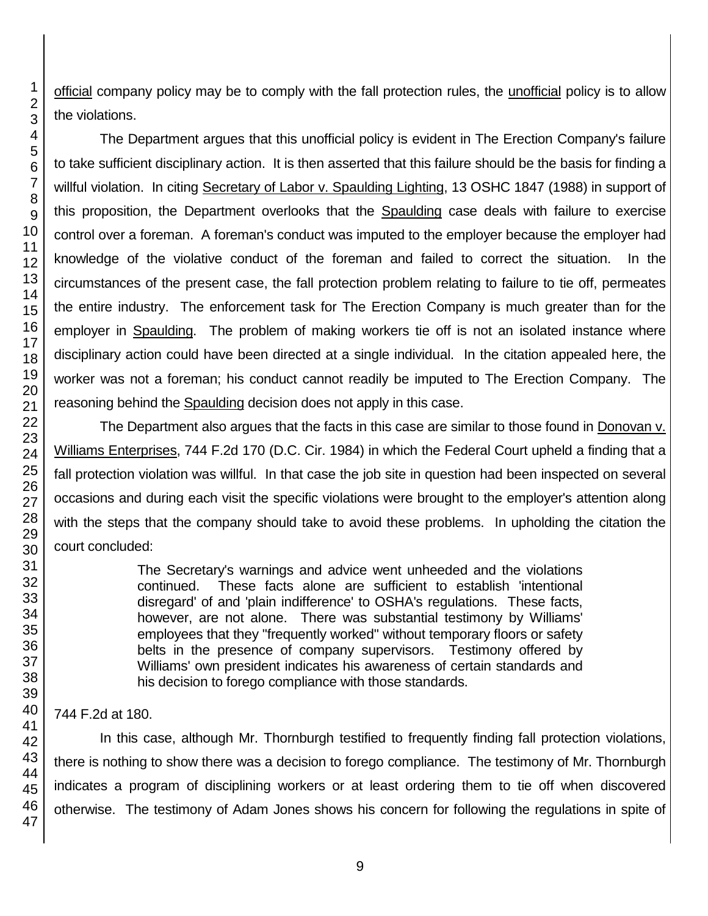official company policy may be to comply with the fall protection rules, the unofficial policy is to allow the violations.

The Department argues that this unofficial policy is evident in The Erection Company's failure to take sufficient disciplinary action. It is then asserted that this failure should be the basis for finding a willful violation. In citing Secretary of Labor v. Spaulding Lighting, 13 OSHC 1847 (1988) in support of this proposition, the Department overlooks that the Spaulding case deals with failure to exercise control over a foreman. A foreman's conduct was imputed to the employer because the employer had knowledge of the violative conduct of the foreman and failed to correct the situation. In the circumstances of the present case, the fall protection problem relating to failure to tie off, permeates the entire industry. The enforcement task for The Erection Company is much greater than for the employer in Spaulding. The problem of making workers tie off is not an isolated instance where disciplinary action could have been directed at a single individual. In the citation appealed here, the worker was not a foreman; his conduct cannot readily be imputed to The Erection Company. The reasoning behind the Spaulding decision does not apply in this case.

The Department also argues that the facts in this case are similar to those found in Donovan v. Williams Enterprises, 744 F.2d 170 (D.C. Cir. 1984) in which the Federal Court upheld a finding that a fall protection violation was willful. In that case the job site in question had been inspected on several occasions and during each visit the specific violations were brought to the employer's attention along with the steps that the company should take to avoid these problems. In upholding the citation the court concluded:

> The Secretary's warnings and advice went unheeded and the violations continued. These facts alone are sufficient to establish 'intentional disregard' of and 'plain indifference' to OSHA's regulations. These facts, however, are not alone. There was substantial testimony by Williams' employees that they "frequently worked" without temporary floors or safety belts in the presence of company supervisors. Testimony offered by Williams' own president indicates his awareness of certain standards and his decision to forego compliance with those standards.

## 744 F.2d at 180.

In this case, although Mr. Thornburgh testified to frequently finding fall protection violations, there is nothing to show there was a decision to forego compliance. The testimony of Mr. Thornburgh indicates a program of disciplining workers or at least ordering them to tie off when discovered otherwise. The testimony of Adam Jones shows his concern for following the regulations in spite of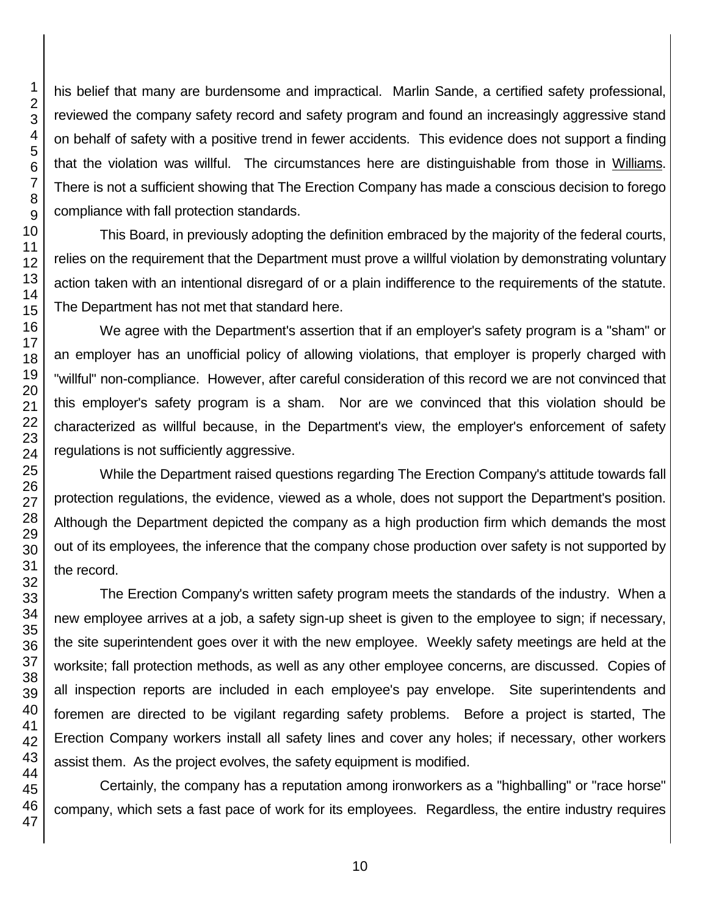his belief that many are burdensome and impractical. Marlin Sande, a certified safety professional, reviewed the company safety record and safety program and found an increasingly aggressive stand on behalf of safety with a positive trend in fewer accidents. This evidence does not support a finding that the violation was willful. The circumstances here are distinguishable from those in Williams. There is not a sufficient showing that The Erection Company has made a conscious decision to forego compliance with fall protection standards.

This Board, in previously adopting the definition embraced by the majority of the federal courts, relies on the requirement that the Department must prove a willful violation by demonstrating voluntary action taken with an intentional disregard of or a plain indifference to the requirements of the statute. The Department has not met that standard here.

We agree with the Department's assertion that if an employer's safety program is a "sham" or an employer has an unofficial policy of allowing violations, that employer is properly charged with "willful" non-compliance. However, after careful consideration of this record we are not convinced that this employer's safety program is a sham. Nor are we convinced that this violation should be characterized as willful because, in the Department's view, the employer's enforcement of safety regulations is not sufficiently aggressive.

While the Department raised questions regarding The Erection Company's attitude towards fall protection regulations, the evidence, viewed as a whole, does not support the Department's position. Although the Department depicted the company as a high production firm which demands the most out of its employees, the inference that the company chose production over safety is not supported by the record.

The Erection Company's written safety program meets the standards of the industry. When a new employee arrives at a job, a safety sign-up sheet is given to the employee to sign; if necessary, the site superintendent goes over it with the new employee. Weekly safety meetings are held at the worksite; fall protection methods, as well as any other employee concerns, are discussed. Copies of all inspection reports are included in each employee's pay envelope. Site superintendents and foremen are directed to be vigilant regarding safety problems. Before a project is started, The Erection Company workers install all safety lines and cover any holes; if necessary, other workers assist them. As the project evolves, the safety equipment is modified.

Certainly, the company has a reputation among ironworkers as a "highballing" or "race horse" company, which sets a fast pace of work for its employees. Regardless, the entire industry requires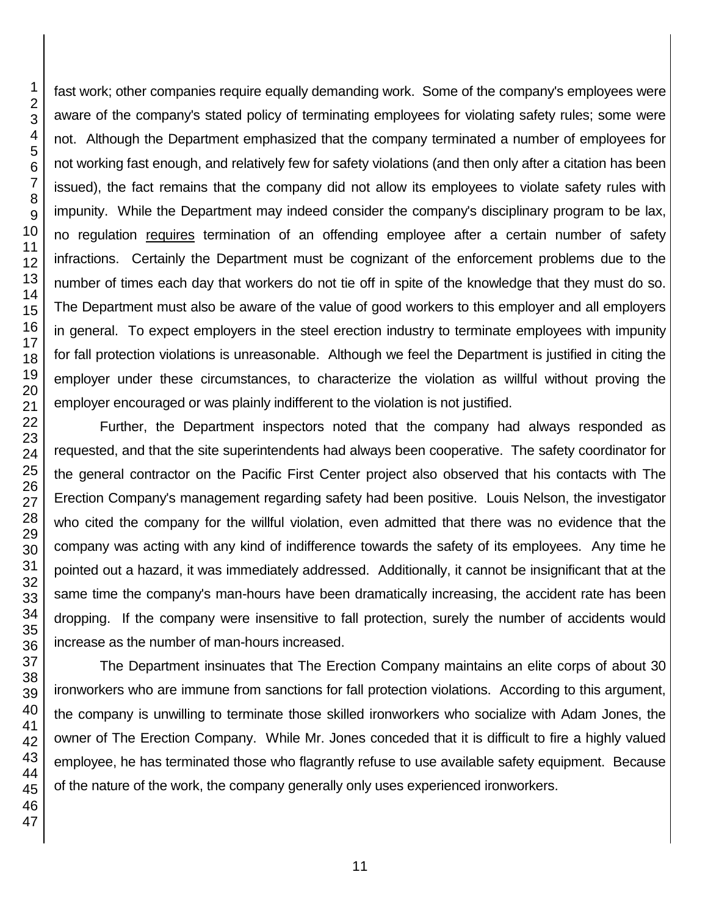fast work; other companies require equally demanding work. Some of the company's employees were aware of the company's stated policy of terminating employees for violating safety rules; some were not. Although the Department emphasized that the company terminated a number of employees for not working fast enough, and relatively few for safety violations (and then only after a citation has been issued), the fact remains that the company did not allow its employees to violate safety rules with impunity. While the Department may indeed consider the company's disciplinary program to be lax, no regulation requires termination of an offending employee after a certain number of safety infractions. Certainly the Department must be cognizant of the enforcement problems due to the number of times each day that workers do not tie off in spite of the knowledge that they must do so. The Department must also be aware of the value of good workers to this employer and all employers in general. To expect employers in the steel erection industry to terminate employees with impunity for fall protection violations is unreasonable. Although we feel the Department is justified in citing the employer under these circumstances, to characterize the violation as willful without proving the employer encouraged or was plainly indifferent to the violation is not justified.

Further, the Department inspectors noted that the company had always responded as requested, and that the site superintendents had always been cooperative. The safety coordinator for the general contractor on the Pacific First Center project also observed that his contacts with The Erection Company's management regarding safety had been positive. Louis Nelson, the investigator who cited the company for the willful violation, even admitted that there was no evidence that the company was acting with any kind of indifference towards the safety of its employees. Any time he pointed out a hazard, it was immediately addressed. Additionally, it cannot be insignificant that at the same time the company's man-hours have been dramatically increasing, the accident rate has been dropping. If the company were insensitive to fall protection, surely the number of accidents would increase as the number of man-hours increased.

The Department insinuates that The Erection Company maintains an elite corps of about 30 ironworkers who are immune from sanctions for fall protection violations. According to this argument, the company is unwilling to terminate those skilled ironworkers who socialize with Adam Jones, the owner of The Erection Company. While Mr. Jones conceded that it is difficult to fire a highly valued employee, he has terminated those who flagrantly refuse to use available safety equipment. Because of the nature of the work, the company generally only uses experienced ironworkers.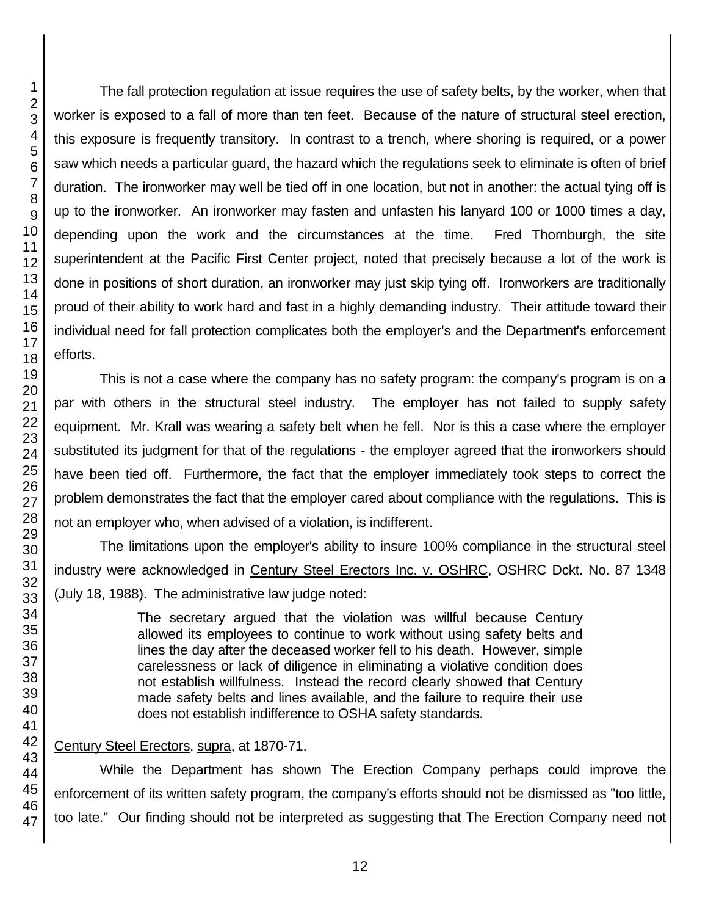The fall protection regulation at issue requires the use of safety belts, by the worker, when that worker is exposed to a fall of more than ten feet. Because of the nature of structural steel erection, this exposure is frequently transitory. In contrast to a trench, where shoring is required, or a power saw which needs a particular guard, the hazard which the regulations seek to eliminate is often of brief duration. The ironworker may well be tied off in one location, but not in another: the actual tying off is up to the ironworker. An ironworker may fasten and unfasten his lanyard 100 or 1000 times a day, depending upon the work and the circumstances at the time. Fred Thornburgh, the site superintendent at the Pacific First Center project, noted that precisely because a lot of the work is done in positions of short duration, an ironworker may just skip tying off. Ironworkers are traditionally proud of their ability to work hard and fast in a highly demanding industry. Their attitude toward their individual need for fall protection complicates both the employer's and the Department's enforcement efforts.

This is not a case where the company has no safety program: the company's program is on a par with others in the structural steel industry. The employer has not failed to supply safety equipment. Mr. Krall was wearing a safety belt when he fell. Nor is this a case where the employer substituted its judgment for that of the regulations - the employer agreed that the ironworkers should have been tied off. Furthermore, the fact that the employer immediately took steps to correct the problem demonstrates the fact that the employer cared about compliance with the regulations. This is not an employer who, when advised of a violation, is indifferent.

The limitations upon the employer's ability to insure 100% compliance in the structural steel industry were acknowledged in Century Steel Erectors Inc. v. OSHRC, OSHRC Dckt. No. 87 1348 (July 18, 1988). The administrative law judge noted:

> The secretary argued that the violation was willful because Century allowed its employees to continue to work without using safety belts and lines the day after the deceased worker fell to his death. However, simple carelessness or lack of diligence in eliminating a violative condition does not establish willfulness. Instead the record clearly showed that Century made safety belts and lines available, and the failure to require their use does not establish indifference to OSHA safety standards.

### Century Steel Erectors, supra, at 1870-71.

While the Department has shown The Erection Company perhaps could improve the enforcement of its written safety program, the company's efforts should not be dismissed as "too little, too late." Our finding should not be interpreted as suggesting that The Erection Company need not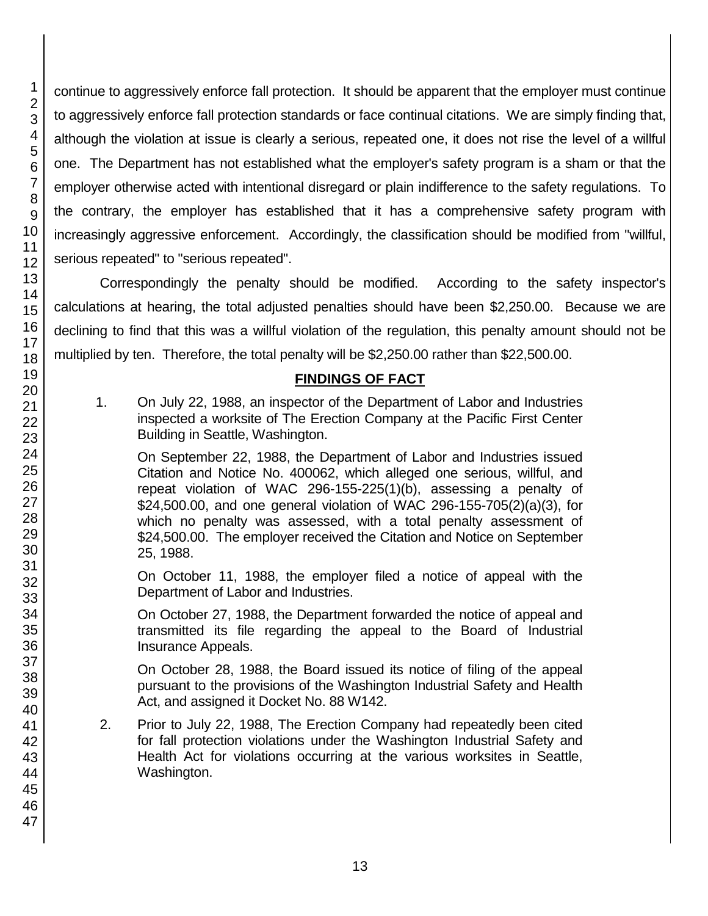continue to aggressively enforce fall protection. It should be apparent that the employer must continue to aggressively enforce fall protection standards or face continual citations. We are simply finding that, although the violation at issue is clearly a serious, repeated one, it does not rise the level of a willful one. The Department has not established what the employer's safety program is a sham or that the employer otherwise acted with intentional disregard or plain indifference to the safety regulations. To the contrary, the employer has established that it has a comprehensive safety program with increasingly aggressive enforcement. Accordingly, the classification should be modified from "willful, serious repeated" to "serious repeated".

Correspondingly the penalty should be modified. According to the safety inspector's calculations at hearing, the total adjusted penalties should have been \$2,250.00. Because we are declining to find that this was a willful violation of the regulation, this penalty amount should not be multiplied by ten. Therefore, the total penalty will be \$2,250.00 rather than \$22,500.00.

### **FINDINGS OF FACT**

1. On July 22, 1988, an inspector of the Department of Labor and Industries inspected a worksite of The Erection Company at the Pacific First Center Building in Seattle, Washington.

On September 22, 1988, the Department of Labor and Industries issued Citation and Notice No. 400062, which alleged one serious, willful, and repeat violation of WAC 296-155-225(1)(b), assessing a penalty of \$24,500.00, and one general violation of WAC 296-155-705(2)(a)(3), for which no penalty was assessed, with a total penalty assessment of \$24,500.00. The employer received the Citation and Notice on September 25, 1988.

On October 11, 1988, the employer filed a notice of appeal with the Department of Labor and Industries.

On October 27, 1988, the Department forwarded the notice of appeal and transmitted its file regarding the appeal to the Board of Industrial Insurance Appeals.

On October 28, 1988, the Board issued its notice of filing of the appeal pursuant to the provisions of the Washington Industrial Safety and Health Act, and assigned it Docket No. 88 W142.

2. Prior to July 22, 1988, The Erection Company had repeatedly been cited for fall protection violations under the Washington Industrial Safety and Health Act for violations occurring at the various worksites in Seattle, Washington.